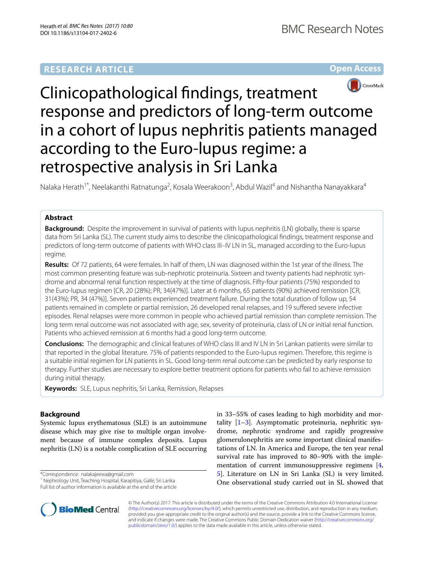# **RESEARCH ARTICLE**

**Open Access**



# Clinicopathological findings, treatment response and predictors of long-term outcome in a cohort of lupus nephritis patients managed according to the Euro-lupus regime: a retrospective analysis in Sri Lanka

Nalaka Herath<sup>1\*</sup>, Neelakanthi Ratnatunga<sup>2</sup>, Kosala Weerakoon<sup>3</sup>, Abdul Wazil<sup>4</sup> and Nishantha Nanayakkara<sup>4</sup>

# **Abstract**

**Background:** Despite the improvement in survival of patients with lupus nephritis (LN) globally, there is sparse data from Sri Lanka (SL). The current study aims to describe the clinicopathological findings, treatment response and predictors of long-term outcome of patients with WHO class III–IV LN in SL, managed according to the Euro-lupus regime.

**Results:** Of 72 patients, 64 were females. In half of them, LN was diagnosed within the 1st year of the illness. The most common presenting feature was sub-nephrotic proteinuria. Sixteen and twenty patients had nephrotic syndrome and abnormal renal function respectively at the time of diagnosis. Fifty-four patients (75%) responded to the Euro-lupus regimen [CR, 20 (28%); PR, 34(47%)]. Later at 6 months, 65 patients (90%) achieved remission [CR, 31(43%); PR, 34 (47%)]. Seven patients experienced treatment failure. During the total duration of follow up, 54 patients remained in complete or partial remission, 26 developed renal relapses, and 19 suffered severe infective episodes. Renal relapses were more common in people who achieved partial remission than complete remission. The long term renal outcome was not associated with age, sex, severity of proteinuria, class of LN or initial renal function. Patients who achieved remission at 6 months had a good long-term outcome.

**Conclusions:** The demographic and clinical features of WHO class III and IV LN in Sri Lankan patients were similar to that reported in the global literature. 75% of patients responded to the Euro-lupus regimen. Therefore, this regime is a suitable initial regimen for LN patients in SL. Good long-term renal outcome can be predicted by early response to therapy. Further studies are necessary to explore better treatment options for patients who fail to achieve remission during initial therapy.

**Keywords:** SLE, Lupus nephritis, Sri Lanka, Remission, Relapses

# **Background**

Systemic lupus erythematosus (SLE) is an autoimmune disease which may give rise to multiple organ involvement because of immune complex deposits. Lupus nephritis (LN) is a notable complication of SLE occurring

\*Correspondence: nalakajeewa@gmail.com

<sup>1</sup> Nephrology Unit, Teaching Hospital, Karapitiya, Galle, Sri Lanka Full list of author information is available at the end of the article tality [[1](#page-4-0)[–3](#page-4-1)]. Asymptomatic proteinuria, nephritic syndrome, nephrotic syndrome and rapidly progressive glomerulonephritis are some important clinical manifestations of LN. In America and Europe, the ten year renal survival rate has improved to 80–90% with the implementation of current immunosuppressive regimens [\[4](#page-4-2), [5\]](#page-4-3). Literature on LN in Sri Lanka (SL) is very limited. One observational study carried out in SL showed that

in 33–55% of cases leading to high morbidity and mor-



© The Author(s) 2017. This article is distributed under the terms of the Creative Commons Attribution 4.0 International License [\(http://creativecommons.org/licenses/by/4.0/\)](http://creativecommons.org/licenses/by/4.0/), which permits unrestricted use, distribution, and reproduction in any medium, provided you give appropriate credit to the original author(s) and the source, provide a link to the Creative Commons license, and indicate if changes were made. The Creative Commons Public Domain Dedication waiver ([http://creativecommons.org/](http://creativecommons.org/publicdomain/zero/1.0/) [publicdomain/zero/1.0/](http://creativecommons.org/publicdomain/zero/1.0/)) applies to the data made available in this article, unless otherwise stated.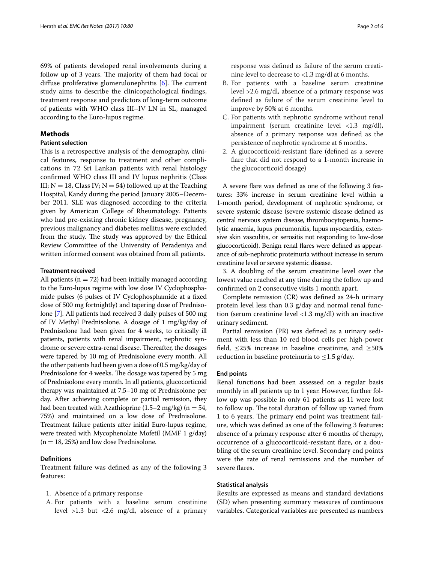69% of patients developed renal involvements during a follow up of 3 years. The majority of them had focal or diffuse proliferative glomerulonephritis [[6\]](#page-4-4). The current study aims to describe the clinicopathological findings, treatment response and predictors of long-term outcome of patients with WHO class III–IV LN in SL, managed according to the Euro-lupus regime.

#### **Methods**

## **Patient selection**

This is a retrospective analysis of the demography, clinical features, response to treatment and other complications in 72 Sri Lankan patients with renal histology confirmed WHO class III and IV lupus nephritis (Class III;  $N = 18$ , Class IV;  $N = 54$ ) followed up at the Teaching Hospital, Kandy during the period January 2005–December 2011. SLE was diagnosed according to the criteria given by American College of Rheumatology. Patients who had pre-existing chronic kidney disease, pregnancy, previous malignancy and diabetes mellitus were excluded from the study. The study was approved by the Ethical Review Committee of the University of Peradeniya and written informed consent was obtained from all patients.

#### **Treatment received**

All patients ( $n = 72$ ) had been initially managed according to the Euro-lupus regime with low dose IV Cyclophosphamide pulses (6 pulses of IV Cyclophosphamide at a fixed dose of 500 mg fortnightly) and tapering dose of Prednisolone [[7](#page-4-5)]. All patients had received 3 daily pulses of 500 mg of IV Methyl Prednisolone. A dosage of 1 mg/kg/day of Prednisolone had been given for 4 weeks, to critically ill patients, patients with renal impairment, nephrotic syndrome or severe extra-renal disease. Thereafter, the dosages were tapered by 10 mg of Prednisolone every month. All the other patients had been given a dose of 0.5 mg/kg/day of Prednisolone for 4 weeks. The dosage was tapered by 5 mg of Prednisolone every month. In all patients, glucocorticoid therapy was maintained at 7.5–10 mg of Prednisolone per day. After achieving complete or partial remission, they had been treated with Azathioprine (1.5–2 mg/kg) ( $n = 54$ , 75%) and maintained on a low dose of Prednisolone. Treatment failure patients after initial Euro-lupus regime, were treated with Mycophenolate Mofetil (MMF 1 g/day)  $(n = 18, 25%)$  and low dose Prednisolone.

# **Definitions**

Treatment failure was defined as any of the following 3 features:

- 1. Absence of a primary response
- A. For patients with a baseline serum creatinine level  $>1.3$  but  $<2.6$  mg/dl, absence of a primary

response was defined as failure of the serum creatinine level to decrease to <1.3 mg/dl at 6 months.

- B. For patients with a baseline serum creatinine level >2.6 mg/dl, absence of a primary response was defined as failure of the serum creatinine level to improve by 50% at 6 months.
- C. For patients with nephrotic syndrome without renal impairment (serum creatinine level <1.3 mg/dl), absence of a primary response was defined as the persistence of nephrotic syndrome at 6 months.
- 2. A glucocorticoid-resistant flare (defined as a severe flare that did not respond to a 1-month increase in the glucocorticoid dosage)

A severe flare was defined as one of the following 3 features: 33% increase in serum creatinine level within a 1-month period, development of nephrotic syndrome, or severe systemic disease (severe systemic disease defined as central nervous system disease, thrombocytopenia, haemolytic anaemia, lupus pneumonitis, lupus myocarditis, extensive skin vasculitis, or serositis not responding to low-dose glucocorticoid). Benign renal flares were defined as appearance of sub-nephrotic proteinuria without increase in serum creatinine level or severe systemic disease.

3. A doubling of the serum creatinine level over the lowest value reached at any time during the follow up and confirmed on 2 consecutive visits 1 month apart.

Complete remission (CR) was defined as 24-h urinary protein level less than 0.3 g/day and normal renal function (serum creatinine level <1.3 mg/dl) with an inactive urinary sediment.

Partial remission (PR) was defined as a urinary sediment with less than 10 red blood cells per high-power field,  $\leq$ 25% increase in baseline creatinine, and  $\geq$ 50% reduction in baseline proteinuria to  $\leq$ 1.5 g/day.

#### **End points**

Renal functions had been assessed on a regular basis monthly in all patients up to 1 year. However, further follow up was possible in only 61 patients as 11 were lost to follow up. The total duration of follow up varied from 1 to 6 years. The primary end point was treatment failure, which was defined as one of the following 3 features: absence of a primary response after 6 months of therapy, occurrence of a glucocorticoid-resistant flare, or a doubling of the serum creatinine level. Secondary end points were the rate of renal remissions and the number of severe flares.

#### **Statistical analysis**

Results are expressed as means and standard deviations (SD) when presenting summary measures of continuous variables. Categorical variables are presented as numbers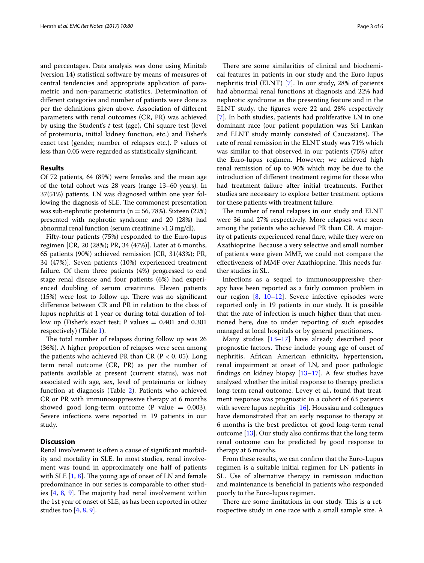and percentages. Data analysis was done using Minitab (version 14) statistical software by means of measures of central tendencies and appropriate application of parametric and non-parametric statistics. Determination of different categories and number of patients were done as per the definitions given above. Association of different parameters with renal outcomes (CR, PR) was achieved by using the Student's *t* test (age), Chi square test (level of proteinuria, initial kidney function, etc.) and Fisher's exact test (gender, number of relapses etc.). P values of less than 0.05 were regarded as statistically significant.

#### **Results**

Of 72 patients, 64 (89%) were females and the mean age of the total cohort was 28 years (range 13–60 years). In 37(51%) patients, LN was diagnosed within one year following the diagnosis of SLE. The commonest presentation was sub-nephrotic proteinuria ( $n = 56, 78\%$ ). Sixteen (22%) presented with nephrotic syndrome and 20 (28%) had abnormal renal function (serum creatinine >1.3 mg/dl).

Fifty-four patients (75%) responded to the Euro-lupus regimen [CR, 20 (28%); PR, 34 (47%)]. Later at 6 months, 65 patients (90%) achieved remission [CR, 31(43%); PR, 34 (47%)]. Seven patients (10%) experienced treatment failure. Of them three patients (4%) progressed to end stage renal disease and four patients (6%) had experienced doubling of serum creatinine. Eleven patients (15%) were lost to follow up. There was no significant difference between CR and PR in relation to the class of lupus nephritis at 1 year or during total duration of follow up (Fisher's exact test; P values  $= 0.401$  and 0.301 respectively) (Table [1](#page-3-0)).

The total number of relapses during follow up was 26 (36%). A higher proportion of relapses were seen among the patients who achieved PR than CR ( $P < 0$ . 05). Long term renal outcome (CR, PR) as per the number of patients available at present (current status), was not associated with age, sex, level of proteinuria or kidney function at diagnosis (Table [2\)](#page-4-6). Patients who achieved CR or PR with immunosuppressive therapy at 6 months showed good long-term outcome (P value  $= 0.003$ ). Severe infections were reported in 19 patients in our study.

## **Discussion**

Renal involvement is often a cause of significant morbidity and mortality in SLE. In most studies, renal involvement was found in approximately one half of patients with SLE [\[1](#page-4-0), [8](#page-4-7)]. The young age of onset of LN and female predominance in our series is comparable to other studies [\[4](#page-4-2), [8](#page-4-7), [9\]](#page-4-8). The majority had renal involvement within the 1st year of onset of SLE, as has been reported in other studies too [[4,](#page-4-2) [8](#page-4-7), [9](#page-4-8)].

There are some similarities of clinical and biochemical features in patients in our study and the Euro lupus nephritis trial (ELNT) [[7\]](#page-4-5). In our study, 28% of patients had abnormal renal functions at diagnosis and 22% had nephrotic syndrome as the presenting feature and in the ELNT study, the figures were 22 and 28% respectively [[7\]](#page-4-5). In both studies, patients had proliferative LN in one dominant race (our patient population was Sri Lankan and ELNT study mainly consisted of Caucasians). The rate of renal remission in the ELNT study was 71% which was similar to that observed in our patients (75%) after the Euro-lupus regimen. However; we achieved high renal remission of up to 90% which may be due to the introduction of different treatment regime for those who had treatment failure after initial treatments. Further studies are necessary to explore better treatment options for these patients with treatment failure.

The number of renal relapses in our study and ELNT were 36 and 27% respectively. More relapses were seen among the patients who achieved PR than CR. A majority of patients experienced renal flare, while they were on Azathioprine. Because a very selective and small number of patients were given MMF, we could not compare the effectiveness of MMF over Azathioprine. This needs further studies in SL.

Infections as a sequel to immunosuppressive therapy have been reported as a fairly common problem in our region  $[8, 10-12]$  $[8, 10-12]$  $[8, 10-12]$  $[8, 10-12]$  $[8, 10-12]$ . Severe infective episodes were reported only in 19 patients in our study. It is possible that the rate of infection is much higher than that mentioned here, due to under reporting of such episodes managed at local hospitals or by general practitioners.

Many studies [\[13](#page-4-11)[–17\]](#page-5-0) have already described poor prognostic factors. These include young age of onset of nephritis, African American ethnicity, hypertension, renal impairment at onset of LN, and poor pathologic findings on kidney biopsy [\[13–](#page-4-11)[17\]](#page-5-0). A few studies have analysed whether the initial response to therapy predicts long-term renal outcome. Levey et al., found that treatment response was prognostic in a cohort of 63 patients with severe lupus nephritis [[16\]](#page-5-1). Houssiau and colleagues have demonstrated that an early response to therapy at 6 months is the best predictor of good long-term renal outcome [\[13\]](#page-4-11). Our study also confirms that the long term renal outcome can be predicted by good response to therapy at 6 months.

From these results, we can confirm that the Euro-Lupus regimen is a suitable initial regimen for LN patients in SL. Use of alternative therapy in remission induction and maintenance is beneficial in patients who responded poorly to the Euro-lupus regimen.

There are some limitations in our study. This is a retrospective study in one race with a small sample size. A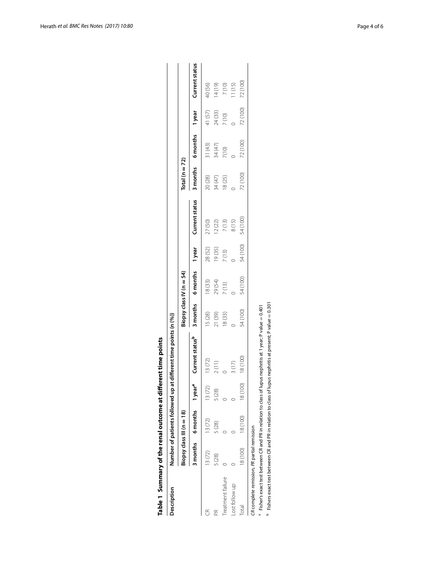| Description                                 |          | Number of patients followed up at     |         | different time points (n (%))                                                                                         |          |                          |          |                |                    |                          |          |                |
|---------------------------------------------|----------|---------------------------------------|---------|-----------------------------------------------------------------------------------------------------------------------|----------|--------------------------|----------|----------------|--------------------|--------------------------|----------|----------------|
|                                             |          | Biopsy class III (n = 18)             |         |                                                                                                                       |          | Biopsy class IV (n = 54) |          |                | Total ( $n = 72$ ) |                          |          |                |
|                                             |          | 3 months 6 months 1 year <sup>a</sup> |         | Current status <sup>b</sup>                                                                                           |          | 3 months 6 months 1 year |          | Current status |                    | 3 months 6 months 1 year |          | Current status |
|                                             | 13(72)   | 13(72)                                | 13(72)  | 13(72)                                                                                                                | 15 (28)  | 18 (33)                  | 28 (52)  | 27 (50)        | 20 (28)            | 31(43)                   | 41 (57)  | 40 (56)        |
| Æ                                           | 5 (28)   | 5 (28)                                | 5 (28)  | 2(11)                                                                                                                 | 21 (39)  | 29 (54)                  | 19(35)   | 12(22)         | 34 (47)            | 34(47)                   | 24 (33)  | 14 (19)        |
| Treatment failure                           |          |                                       |         |                                                                                                                       | 18(33)   | 7(13)                    | 7(13)    | 7(13)          | 18(25)             | 7(10)                    | 7(10)    | 7(10)          |
| Lost follow up                              |          |                                       |         | 3(17)                                                                                                                 |          |                          |          | 8 (15)         |                    |                          |          | (1(15)         |
| Total                                       | 18 (100) | 18 (100)                              | 18(100) | 18 (100)                                                                                                              | 54 (100) | 54 (100)                 | 54 (100) | 54 (100)       | 72 (100)           | 72 (100)                 | 72 (100) | 72 (100)       |
| CR complete remission, PR partial remission |          |                                       |         |                                                                                                                       |          |                          |          |                |                    |                          |          |                |
|                                             |          |                                       |         | <sup>3</sup> Fisher's exact test between CR and PR in relation to class of lupus nephritis at 1 year; P value = 0.401 |          |                          |          |                |                    |                          |          |                |
|                                             |          |                                       |         | Fishers exact test between CR and PR in relation to class of lupus nephritis at present; P value = 0.301              |          |                          |          |                |                    |                          |          |                |

<span id="page-3-0"></span>

| is in case is             |  |
|---------------------------|--|
|                           |  |
|                           |  |
|                           |  |
|                           |  |
|                           |  |
|                           |  |
|                           |  |
| ֦֧֦֧֦֧֦֧֦֧                |  |
| $\ddot{\phantom{a}}$      |  |
|                           |  |
| i                         |  |
|                           |  |
|                           |  |
|                           |  |
|                           |  |
|                           |  |
|                           |  |
|                           |  |
|                           |  |
| הם אם הם ביו הוודרת האם ה |  |
|                           |  |
|                           |  |
|                           |  |
|                           |  |
|                           |  |
|                           |  |
|                           |  |
| :                         |  |
|                           |  |
|                           |  |
|                           |  |
|                           |  |
|                           |  |
|                           |  |
|                           |  |
|                           |  |
|                           |  |
|                           |  |
|                           |  |
|                           |  |
|                           |  |
|                           |  |
|                           |  |
|                           |  |
|                           |  |
|                           |  |
|                           |  |
|                           |  |
|                           |  |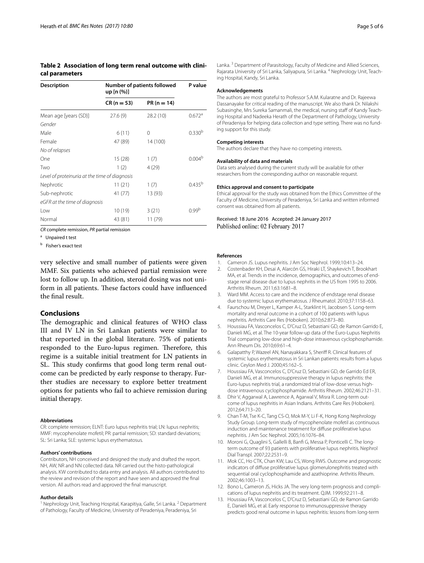#### <span id="page-4-6"></span>**Table 2 Association of long term renal outcome with clinical parameters**

| <b>Description</b>                            | <b>Number of patients followed</b><br>up [n (%)] |               | P value              |
|-----------------------------------------------|--------------------------------------------------|---------------|----------------------|
|                                               | $CR (n = 53)$                                    | $PR (n = 14)$ |                      |
| Mean age [years (SD)]                         | 27.6(9)                                          | 28.2 (10)     | $0.672$ <sup>a</sup> |
| Gender                                        |                                                  |               |                      |
| Male                                          | 6(11)                                            | $\Omega$      | 0.330 <sup>b</sup>   |
| Female                                        | 47 (89)                                          | 14 (100)      |                      |
| No of relapses                                |                                                  |               |                      |
| One                                           | 15 (28)                                          | 1(7)          | 0.004 <sup>b</sup>   |
| Two                                           | 1(2)                                             | 4(29)         |                      |
| Level of proteinuria at the time of diagnosis |                                                  |               |                      |
| Nephrotic                                     | 11(21)                                           | 1(7)          | $0.435^{b}$          |
| Sub-nephrotic                                 | 41 (77)                                          | 13 (93)       |                      |
| eGFR at the time of diagnosis                 |                                                  |               |                      |
| Low                                           | 10(19)                                           | 3(21)         | 0.99 <sup>b</sup>    |
| Normal                                        | 43 (81)                                          | 11 (79)       |                      |

*CR* complete remission, *PR* partial remission

<sup>a</sup> Unpaired t test

**b** Fisher's exact test

very selective and small number of patients were given MMF. Six patients who achieved partial remission were lost to follow up. In addition, steroid dosing was not uniform in all patients. These factors could have influenced the final result.

#### **Conclusions**

The demographic and clinical features of WHO class III and IV LN in Sri Lankan patients were similar to that reported in the global literature. 75% of patients responded to the Euro-lupus regimen. Therefore, this regime is a suitable initial treatment for LN patients in SL. This study confirms that good long term renal outcome can be predicted by early response to therapy. Further studies are necessary to explore better treatment options for patients who fail to achieve remission during initial therapy.

#### **Abbreviations**

CR: complete remission; ELNT: Euro lupus nephritis trial; LN: lupus nephritis; MMF: mycophenolate mofetil; PR: partial remission; SD: standard deviations; SL: Sri Lanka; SLE: systemic lupus erythematosus.

#### **Authors' contributions**

Contributors, NH conceived and designed the study and drafted the report. NH, AW, NR and NN collected data. NR carried out the histo-pathological analysis. KW contributed to data entry and analysis. All authors contributed to the review and revision of the report and have seen and approved the final version. All authors read and approved the final manuscript.

#### **Author details**

<sup>1</sup> Nephrology Unit, Teaching Hospital, Karapitiya, Galle, Sri Lanka.<sup>2</sup> Department of Pathology, Faculty of Medicine, University of Peradeniya, Peradeniya, Sri

Lanka.<sup>3</sup> Department of Parasitology, Faculty of Medicine and Allied Sciences, Rajarata University of Sri Lanka, Saliyapura, Sri Lanka. <sup>4</sup> Nephrology Unit, Teaching Hospital, Kandy, Sri Lanka.

#### **Acknowledgements**

The authors are most grateful to Professor S.A.M. Kularatne and Dr. Rajeewa Dassanayake for critical reading of the manuscript. We also thank Dr. Nilakshi Subasinghe, Mrs Sureka Samanmali, the medical, nursing staff of Kandy Teaching Hospital and Nadeeka Herath of the Department of Pathology, University of Peradeniya for helping data collection and type setting. There was no funding support for this study.

#### **Competing interests**

The authors declare that they have no competing interests.

#### **Availability of data and materials**

Data sets analysed during the current study will be available for other researchers from the corresponding author on reasonable request.

#### **Ethics approval and consent to participate**

Ethical approval for the study was obtained from the Ethics Committee of the Faculty of Medicine, University of Peradeniya, Sri Lanka and written informed consent was obtained from all patients.

#### Received: 18 June 2016 Accepted: 24 January 2017 Published online: 02 February 2017

#### **References**

- <span id="page-4-0"></span>1. Cameron JS. Lupus nephritis. J Am Soc Nephrol. 1999;10:413–24.
- 2. Costenbader KH, Desai A, Alarcón GS, Hiraki LT, Shaykevich T, Brookhart MA, et al. Trends in the incidence, demographics, and outcomes of endstage renal disease due to lupus nephritis in the US from 1995 to 2006. Arthritis Rheum. 2011;63:1681–8.
- <span id="page-4-1"></span>3. Ward MM. Access to care and the incidence of endstage renal disease due to systemic lupus erythematosus. J Rheumatol. 2010;37:1158–63.
- <span id="page-4-2"></span>4. Faurschou M, Dreyer L, Kamper A-L, Starklint H, Jacobsen S. Long-term mortality and renal outcome in a cohort of 100 patients with lupus nephritis. Arthritis Care Res (Hoboken). 2010;62:873–80.
- <span id="page-4-3"></span>5. Houssiau FA, Vasconcelos C, D'Cruz D, Sebastiani GD, de Ramon Garrido E, Danieli MG, et al. The 10-year follow-up data of the Euro-Lupus Nephritis Trial comparing low-dose and high-dose intravenous cyclophosphamide. Ann Rheum Dis. 2010;69:61–4.
- <span id="page-4-4"></span>6. Galapatthy P, Wazeel AN, Nanayakkara S, Sheriff R. Clinical features of systemic lupus erythematosus in Sri Lankan patients: results from a lupus clinic. Ceylon Med J. 2000;45:162–5.
- <span id="page-4-5"></span>7. Houssiau FA, Vasconcelos C, D'Cruz D, Sebastiani GD, de Garrido Ed ER, Danieli MG, et al. Immunosuppressive therapy in lupus nephritis: the Euro-lupus nephritis trial, a randomized trial of low-dose versus highdose intravenous cyclophosphamide. Arthritis Rheum. 2002;46:2121–31.
- <span id="page-4-7"></span>8. Dhir V, Aggarwal A, Lawrence A, Agarwal V, Misra R. Long-term outcome of lupus nephritis in Asian Indians. Arthritis Care Res (Hoboken). 2012;64:713–20.
- <span id="page-4-8"></span>9. Chan T-M, Tse K-C, Tang CS-O, Mok M-Y, Li F-K, Hong Kong Nephrology Study Group. Long-term study of mycophenolate mofetil as continuous induction and maintenance treatment for diffuse proliferative lupus nephritis. J Am Soc Nephrol. 2005;16:1076–84.
- <span id="page-4-9"></span>10. Moroni G, Quaglini S, Gallelli B, Banfi G, Messa P, Ponticelli C. The longterm outcome of 93 patients with proliferative lupus nephritis. Nephrol Dial Transpl. 2007;22:2531–9.
- 11. Mok CC, Ho CTK, Chan KW, Lau CS, Wong RWS. Outcome and prognostic indicators of diffuse proliferative lupus glomerulonephritis treated with sequential oral cyclophosphamide and azathioprine. Arthritis Rheum. 2002;46:1003–13.
- <span id="page-4-10"></span>12. Bono L, Cameron JS, Hicks JA. The very long-term prognosis and complications of lupus nephritis and its treatment. QJM. 1999;92:211–8.
- <span id="page-4-11"></span>13. Houssiau FA, Vasconcelos C, D'Cruz D, Sebastiani GD, de Ramon Garrido E, Danieli MG, et al. Early response to immunosuppressive therapy predicts good renal outcome in lupus nephritis: lessons from long-term